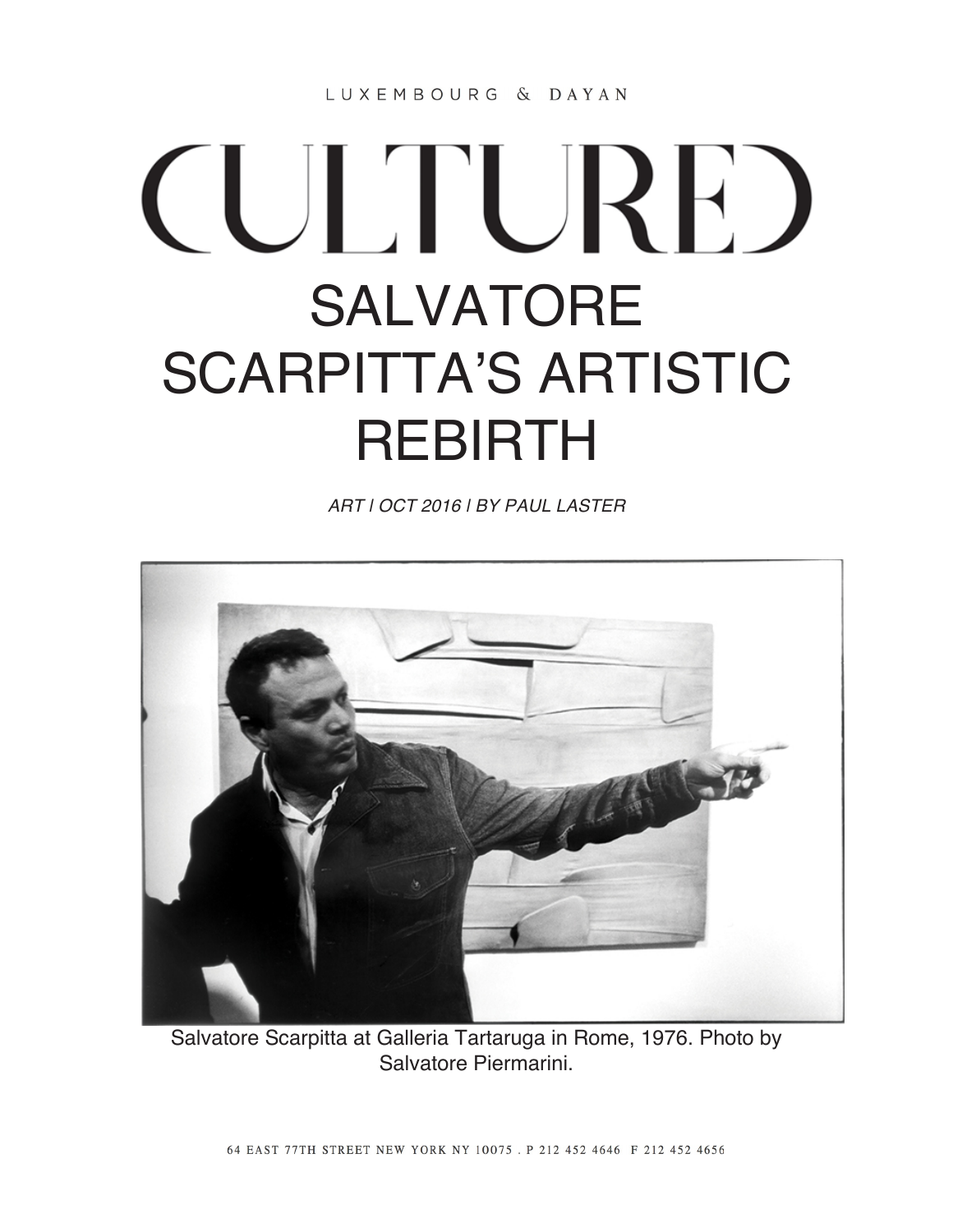LUXEMBOURG & DAYAN

## **CULTURE** SALVATORE SCARPITTA'S ARTISTIC REBIRTH

*ART | OCT 2016 | BY PAUL LASTER*



Salvatore Scarpitta at Galleria Tartaruga in Rome, 1976. Photo by Salvatore Piermarini.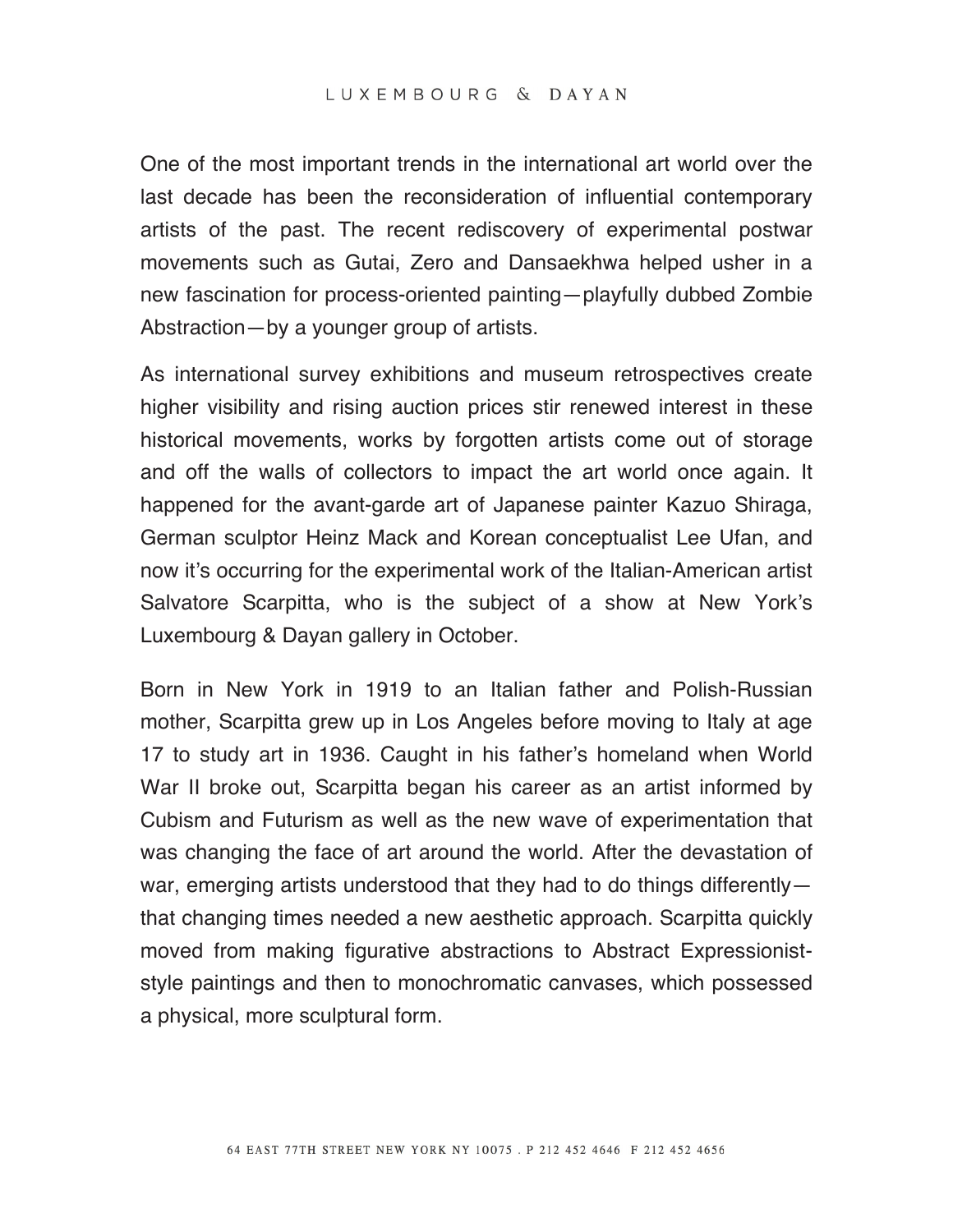One of the most important trends in the international art world over the last decade has been the reconsideration of influential contemporary artists of the past. The recent rediscovery of experimental postwar movements such as Gutai, Zero and Dansaekhwa helped usher in a new fascination for process-oriented painting—playfully dubbed Zombie Abstraction—by a younger group of artists.

As international survey exhibitions and museum retrospectives create higher visibility and rising auction prices stir renewed interest in these historical movements, works by forgotten artists come out of storage and off the walls of collectors to impact the art world once again. It happened for the avant-garde art of Japanese painter Kazuo Shiraga, German sculptor Heinz Mack and Korean conceptualist Lee Ufan, and now it's occurring for the experimental work of the Italian-American artist Salvatore Scarpitta, who is the subject of a show at New York's Luxembourg & Dayan gallery in October.

Born in New York in 1919 to an Italian father and Polish-Russian mother, Scarpitta grew up in Los Angeles before moving to Italy at age 17 to study art in 1936. Caught in his father's homeland when World War II broke out, Scarpitta began his career as an artist informed by Cubism and Futurism as well as the new wave of experimentation that was changing the face of art around the world. After the devastation of war, emerging artists understood that they had to do things differently that changing times needed a new aesthetic approach. Scarpitta quickly moved from making figurative abstractions to Abstract Expressioniststyle paintings and then to monochromatic canvases, which possessed a physical, more sculptural form.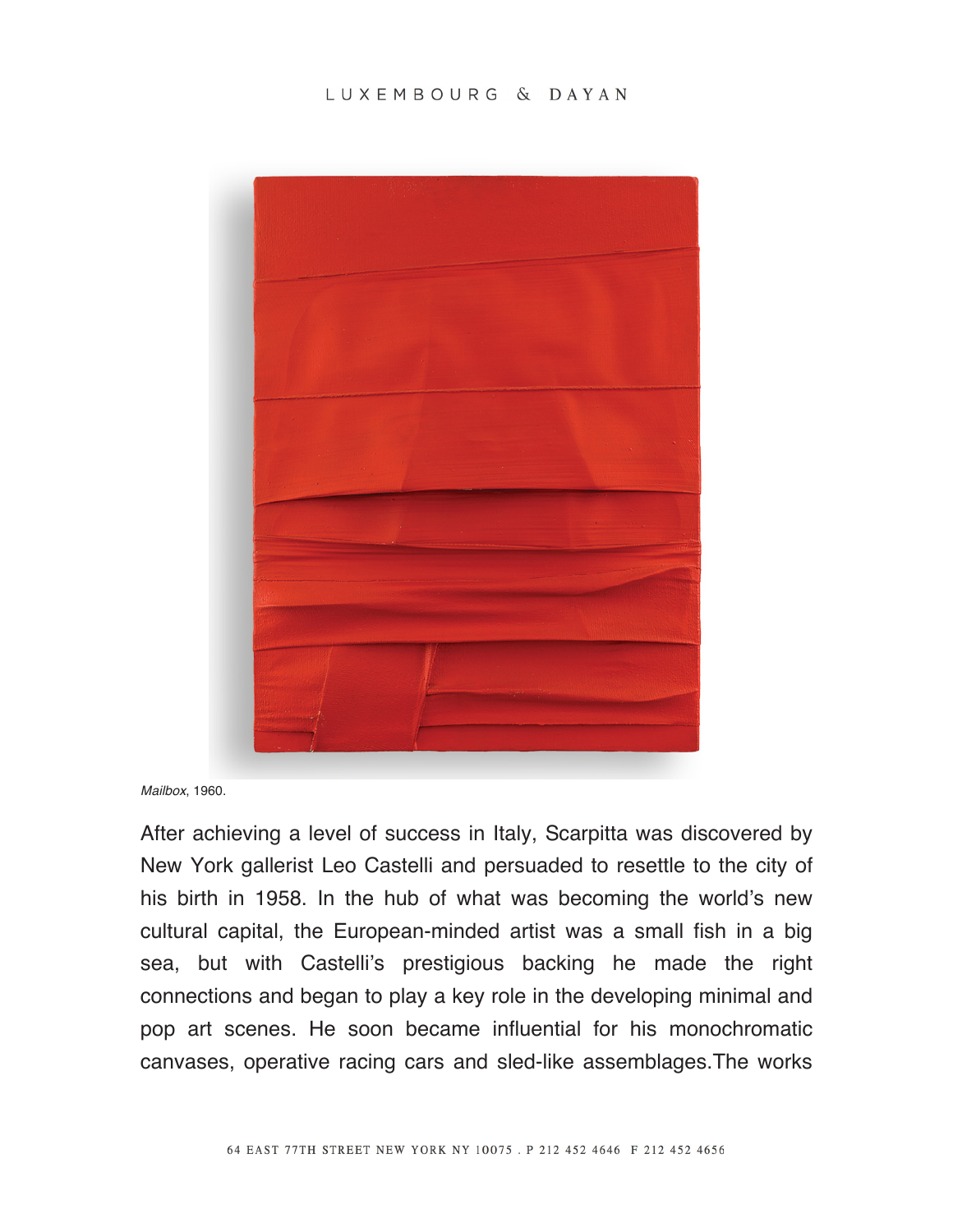## LUXEMBOURG & DAYAN



*Mailbox*, 1960.

After achieving a level of success in Italy, Scarpitta was discovered by New York gallerist Leo Castelli and persuaded to resettle to the city of his birth in 1958. In the hub of what was becoming the world's new cultural capital, the European-minded artist was a small fish in a big sea, but with Castelli's prestigious backing he made the right connections and began to play a key role in the developing minimal and pop art scenes. He soon became influential for his monochromatic canvases, operative racing cars and sled-like assemblages.The works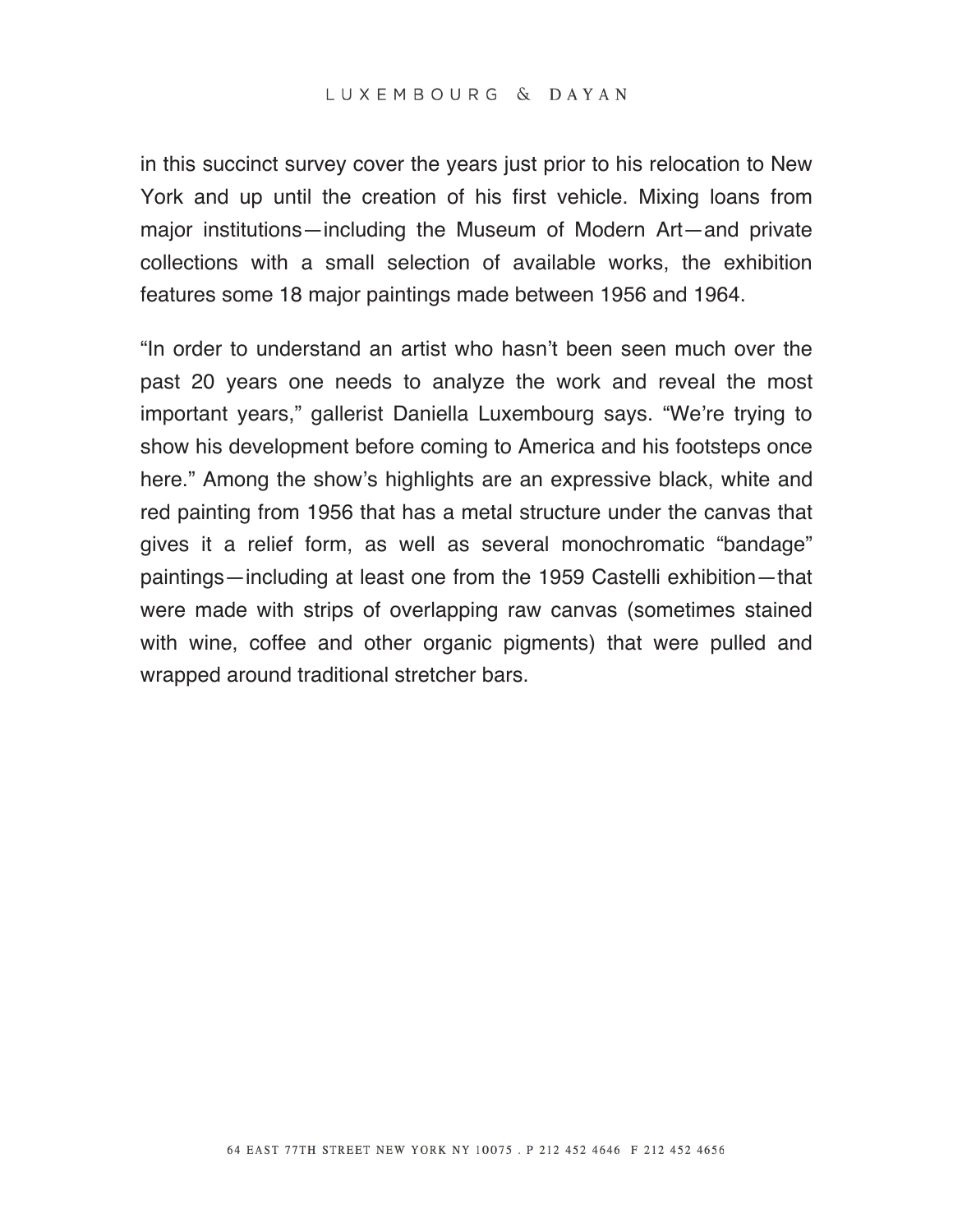in this succinct survey cover the years just prior to his relocation to New York and up until the creation of his first vehicle. Mixing loans from major institutions—including the Museum of Modern Art—and private collections with a small selection of available works, the exhibition features some 18 major paintings made between 1956 and 1964.

"In order to understand an artist who hasn't been seen much over the past 20 years one needs to analyze the work and reveal the most important years," gallerist Daniella Luxembourg says. "We're trying to show his development before coming to America and his footsteps once here." Among the show's highlights are an expressive black, white and red painting from 1956 that has a metal structure under the canvas that gives it a relief form, as well as several monochromatic "bandage" paintings—including at least one from the 1959 Castelli exhibition—that were made with strips of overlapping raw canvas (sometimes stained with wine, coffee and other organic pigments) that were pulled and wrapped around traditional stretcher bars.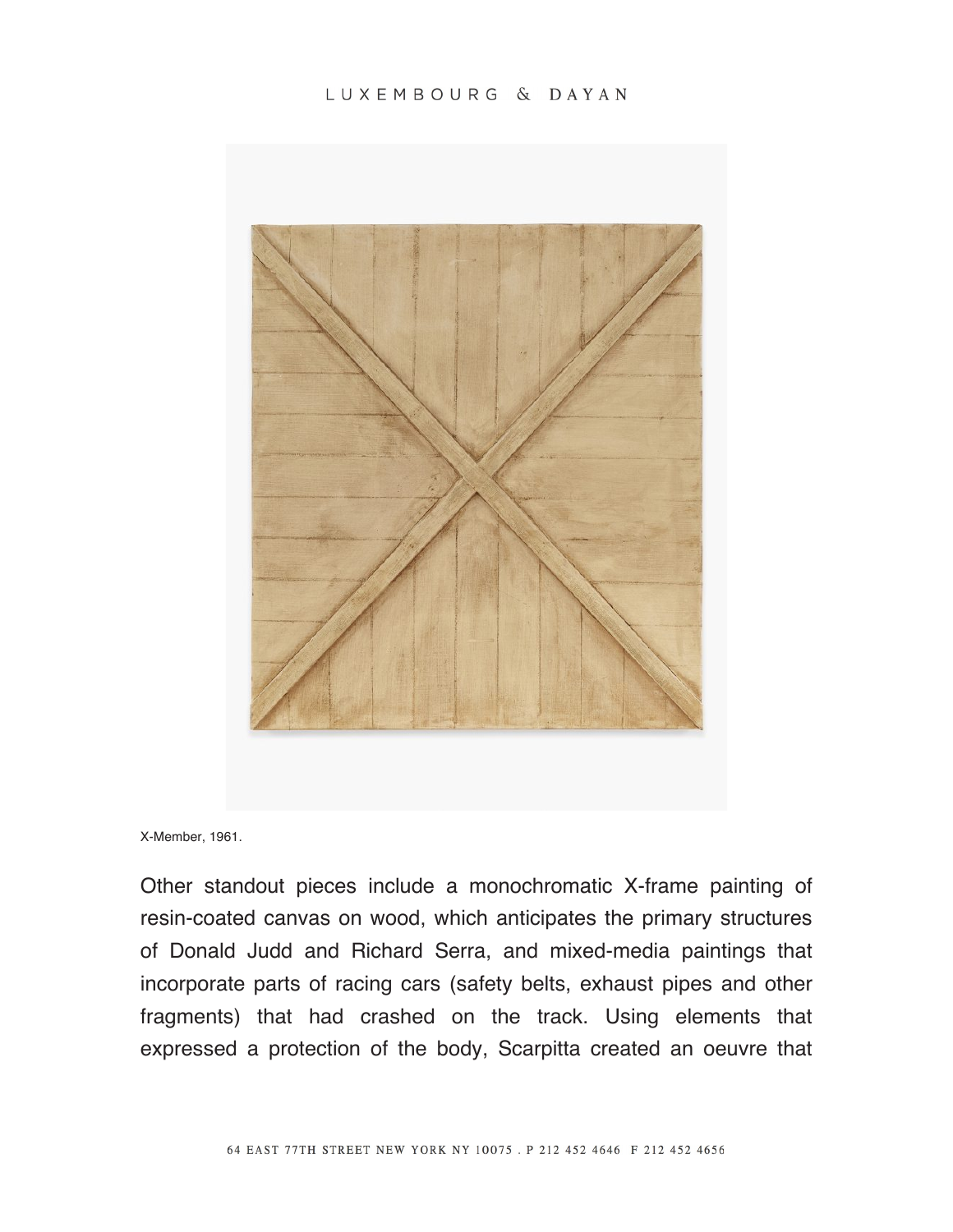## LUXEMBOURG & DAYAN



X-Member, 1961.

Other standout pieces include a monochromatic X-frame painting of resin-coated canvas on wood, which anticipates the primary structures of Donald Judd and Richard Serra, and mixed-media paintings that incorporate parts of racing cars (safety belts, exhaust pipes and other fragments) that had crashed on the track. Using elements that expressed a protection of the body, Scarpitta created an oeuvre that